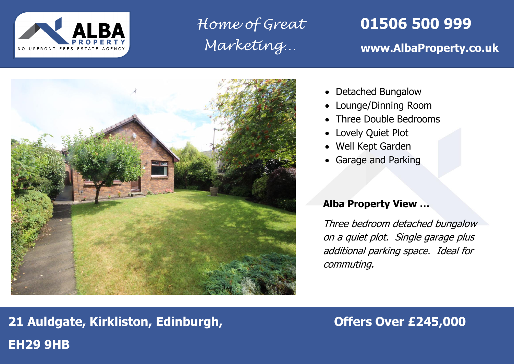

*Home of Great Marketing…*

# **01506 500 999**

## **www.AlbaProperty.co.uk**



- Detached Bungalow
- Lounge/Dinning Room
- Three Double Bedrooms
- Lovely Quiet Plot
- Well Kept Garden
- Garage and Parking

### **Alba Property View …**

Three bedroom detached bungalow on a quiet plot. Single garage plus additional parking space. Ideal for commuting.

# **21 Auldgate, Kirkliston, Edinburgh, The Construction of Franch 245,000 EH29 9HB**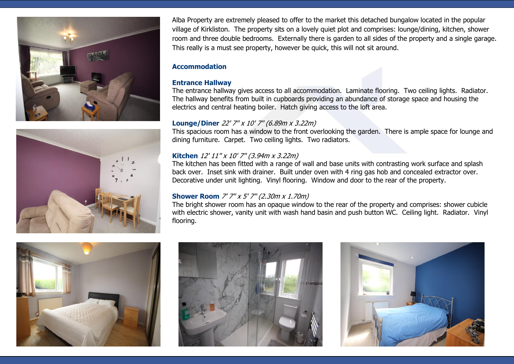



Alba Property are extremely pleased to offer to the market this detached bungalow located in the popular village of Kirkliston. The property sits on a lovely quiet plot and comprises: lounge/dining, kitchen, shower room and three double bedrooms. Externally there is garden to all sides of the property and a single garage. This really is a must see property, however be quick, this will not sit around.

#### **Accommodation**

#### **Entrance Hallway**

The entrance hallway gives access to all accommodation. Laminate flooring. Two ceiling lights. Radiator. The hallway benefits from built in cupboards providing an abundance of storage space and housing the electrics and central heating boiler. Hatch giving access to the loft area.

#### **Lounge/Diner** 22' 7'' x 10' 7'' (6.89m x 3.22m)

This spacious room has a window to the front overlooking the garden. There is ample space for lounge and dining furniture. Carpet. Two ceiling lights. Two radiators.

#### **Kitchen** 12' 11'' x 10' 7'' (3.94m x 3.22m)

The kitchen has been fitted with a range of wall and base units with contrasting work surface and splash back over. Inset sink with drainer. Built under oven with 4 ring gas hob and concealed extractor over. Decorative under unit lighting. Vinyl flooring. Window and door to the rear of the property.

#### **Shower Room** 7' 7'' x 5' 7'' (2.30m x 1.70m)

The bright shower room has an opaque window to the rear of the property and comprises: shower cubicle with electric shower, vanity unit with wash hand basin and push button WC. Ceiling light. Radiator. Vinyl flooring.





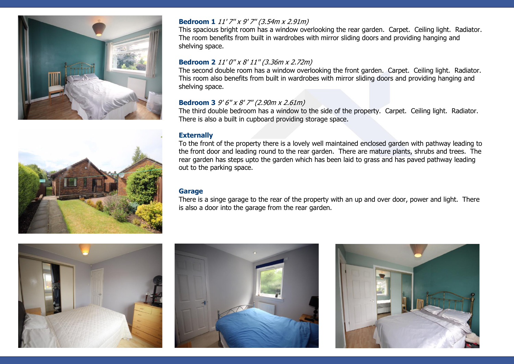



#### **Bedroom 1** 11' 7" x 9' 7" (3.54m x 2.91m)

This spacious bright room has a window overlooking the rear garden. Carpet. Ceiling light. Radiator. The room benefits from built in wardrobes with mirror sliding doors and providing hanging and shelving space.

#### **Bedroom 2** 11' 0'' x 8' 11'' (3.36m x 2.72m)

The second double room has a window overlooking the front garden. Carpet. Ceiling light. Radiator. This room also benefits from built in wardrobes with mirror sliding doors and providing hanging and shelving space.

#### **Bedroom 3** 9' 6'' x 8' 7'' (2.90m x 2.61m)

The third double bedroom has a window to the side of the property. Carpet. Ceiling light. Radiator. There is also a built in cupboard providing storage space.

#### **Externally**

To the front of the property there is a lovely well maintained enclosed garden with pathway leading to the front door and leading round to the rear garden. There are mature plants, shrubs and trees. The rear garden has steps upto the garden which has been laid to grass and has paved pathway leading out to the parking space.

#### **Garage**

There is a singe garage to the rear of the property with an up and over door, power and light. There is also a door into the garage from the rear garden.